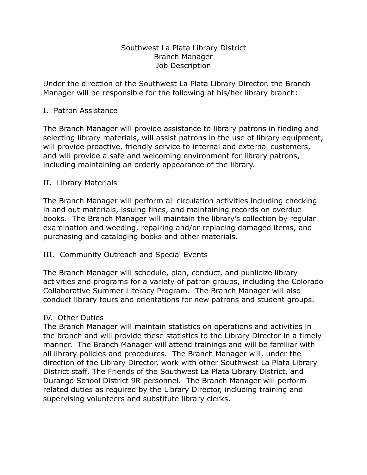### Southwest La Plata Library District Branch Manager Job Description

Under the direction of the Southwest La Plata Library Director, the Branch Manager will be responsible for the following at his/her library branch:

### I. Patron Assistance

The Branch Manager will provide assistance to library patrons in finding and selecting library materials, will assist patrons in the use of library equipment, will provide proactive, friendly service to internal and external customers, and will provide a safe and welcoming environment for library patrons, including maintaining an orderly appearance of the library.

## II. Library Materials

The Branch Manager will perform all circulation activities including checking in and out materials, issuing fines, and maintaining records on overdue books. The Branch Manager will maintain the library's collection by regular examination and weeding, repairing and/or replacing damaged items, and purchasing and cataloging books and other materials.

# III. Community Outreach and Special Events

The Branch Manager will schedule, plan, conduct, and publicize library activities and programs for a variety of patron groups, including the Colorado Collaborative Summer Literacy Program. The Branch Manager will also conduct library tours and orientations for new patrons and student groups.

# IV. Other Duties

The Branch Manager will maintain statistics on operations and activities in the branch and will provide these statistics to the Library Director in a timely manner. The Branch Manager will attend trainings and will be familiar with all library policies and procedures. The Branch Manager will, under the direction of the Library Director, work with other Southwest La Plata Library District staff, The Friends of the Southwest La Plata Library District, and Durango School District 9R personnel. The Branch Manager will perform related duties as required by the Library Director, including training and supervising volunteers and substitute library clerks.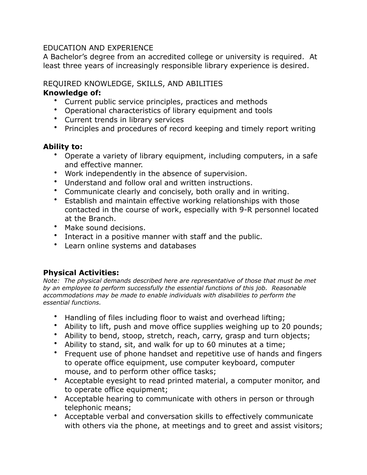## EDUCATION AND EXPERIENCE

A Bachelor's degree from an accredited college or university is required. At least three years of increasingly responsible library experience is desired.

## REQUIRED KNOWLEDGE, SKILLS, AND ABILITIES

## **Knowledge of:**

- Current public service principles, practices and methods
- Operational characteristics of library equipment and tools
- Current trends in library services
- Principles and procedures of record keeping and timely report writing

# **Ability to:**

- Operate a variety of library equipment, including computers, in a safe and effective manner.
- Work independently in the absence of supervision.
- Understand and follow oral and written instructions.
- Communicate clearly and concisely, both orally and in writing.
- Establish and maintain effective working relationships with those contacted in the course of work, especially with 9-R personnel located at the Branch.
- Make sound decisions.
- Interact in a positive manner with staff and the public.
- Learn online systems and databases

# **Physical Activities:**

*Note: The physical demands described here are representative of those that must be met by an employee to perform successfully the essential functions of this job. Reasonable accommodations may be made to enable individuals with disabilities to perform the essential functions.* 

- Handling of files including floor to waist and overhead lifting;
- Ability to lift, push and move office supplies weighing up to 20 pounds;
- Ability to bend, stoop, stretch, reach, carry, grasp and turn objects;
- Ability to stand, sit, and walk for up to 60 minutes at a time;
- Frequent use of phone handset and repetitive use of hands and fingers to operate office equipment, use computer keyboard, computer mouse, and to perform other office tasks;
- Acceptable eyesight to read printed material, a computer monitor, and to operate office equipment;
- Acceptable hearing to communicate with others in person or through telephonic means;
- Acceptable verbal and conversation skills to effectively communicate with others via the phone, at meetings and to greet and assist visitors;